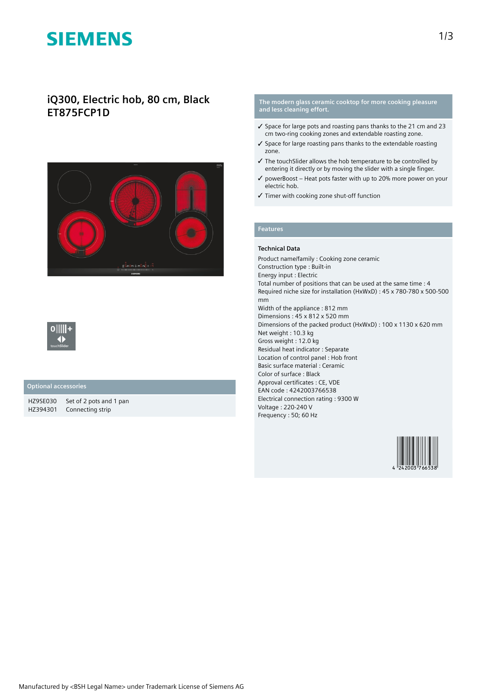# **SIEMENS**

## **iQ300, Electric hob, 80 cm, Black ET875FCP1D**





### **Optional accessories**

HZ9SE030 Set of 2 pots and 1 pan HZ394301 Connecting strip

#### **The modern glass ceramic cooktop for more cooking pleasure and less cleaning effort.**

- ✓ Space for large pots and roasting pans thanks to the 21 cm and 23 cm two-ring cooking zones and extendable roasting zone.
- ✓ Space for large roasting pans thanks to the extendable roasting zone.
- ✓ The touchSlider allows the hob temperature to be controlled by entering it directly or by moving the slider with a single finger.
- ✓ powerBoost Heat pots faster with up to 20% more power on your electric hob.
- ✓ Timer with cooking zone shut-off function

### **Features**

#### **Technical Data**

Product name/family : Cooking zone ceramic Construction type : Built-in Energy input : Electric Total number of positions that can be used at the same time : 4 Required niche size for installation (HxWxD) : 45 x 780-780 x 500-500 mm Width of the appliance : 812 mm Dimensions : 45 x 812 x 520 mm Dimensions of the packed product (HxWxD) : 100 x 1130 x 620 mm Net weight : 10.3 kg Gross weight : 12.0 kg Residual heat indicator : Separate Location of control panel : Hob front Basic surface material : Ceramic Color of surface : Black Approval certificates : CE, VDE EAN code : 4242003766538 Electrical connection rating : 9300 W Voltage : 220-240 V Frequency : 50; 60 Hz

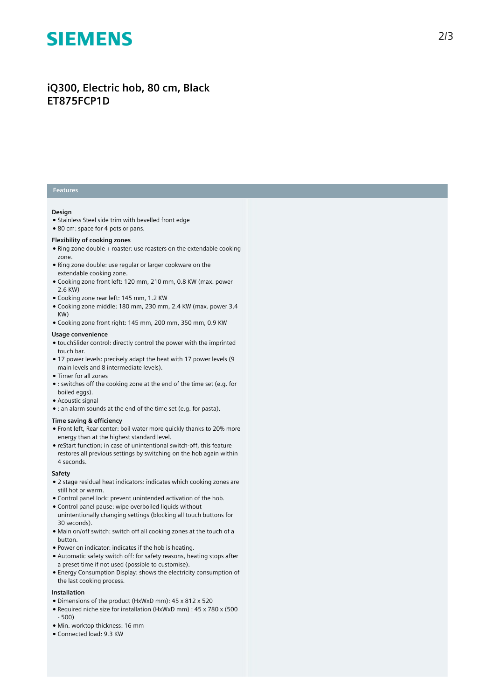# **SIEMENS**

## iQ300, Electric hob, 80 cm, Black **ET875FCP1D**

### **Features**

#### **Design**

- Stainless Steel side trim with bevelled front edge
- 80 cm: space for 4 pots or pans.

#### Flexibility of cooking zones

- Ring zone double + roaster: use roasters on the extendable cooking zone.
- Ring zone double: use regular or larger cookware on the extendable cooking zone.
- Cooking zone front left: 120 mm, 210 mm, 0.8 KW (max. power 2.6 KW)
- Cooking zone rear left: 145 mm, 1.2 KW
- $\bullet$  Cooking zone middle: 180 mm, 230 mm, 2.4 KW (max. power 3.4 KW)
- $\bullet$  Cooking zone front right: 145 mm, 200 mm, 350 mm, 0.9 KW

#### Usage convenience

- touchSlider control: directly control the power with the imprinted touch bar.
- 17 power levels: precisely adapt the heat with 17 power levels (9 main levels and 8 intermediate levels).
- Timer for all zones
- : switches off the cooking zone at the end of the time set (e.g. for boiled eggs).
- Acoustic signal
- : an alarm sounds at the end of the time set (e.g. for pasta).

#### **Time saving & efficiency**

- Front left, Rear center: boil water more quickly thanks to 20% more energy than at the highest standard level.
- reStart function: in case of unintentional switch-off, this feature restores all previous settings by switching on the hob again within 4 seconds.

#### **S a f e t y**

- $\bullet$  2 stage residual heat indicators: indicates which cooking zones are still hot or warm.
- Control panel lock: prevent unintended activation of the hob.
- Control panel pause: wipe overboiled liquids without unintentionally changing settings (blocking all touch buttons for 30 seconds).
- Main on/off switch: switch off all cooking zones at the touch of a button.
- Power on indicator: indicates if the hob is heating.
- Automatic safety switch off: for safety reasons, heating stops after a preset time if not used (possible to customise).
- Energy Consumption Display: shows the electricity consumption of the last cooking process.

#### **lnstallation**

- Dimensions of the product (HxWxD mm): 45 x 812 x 520
- Required niche size for installation (HxWxD mm) : 45 x 780 x (500 - 500)
- Min. worktop thickness: 16 mm
- Connected load: 9.3 KW